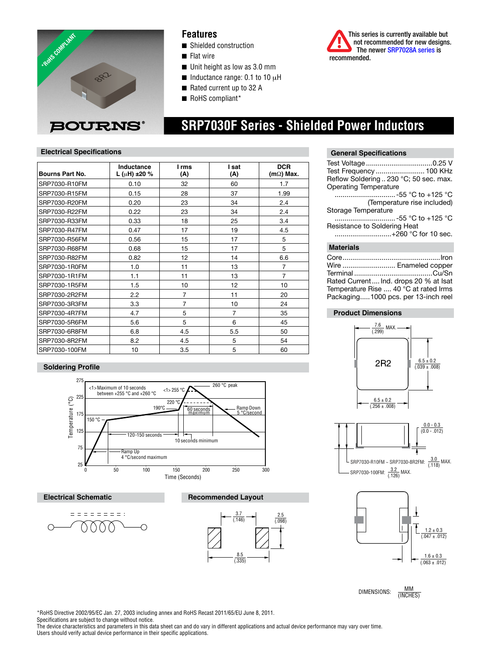

### **Features**

- Shielded construction
- $\blacksquare$  Flat wire
- $\blacksquare$  Unit height as low as 3.0 mm
- $\blacksquare$  Inductance range: 0.1 to 10  $\mu$ H
- $\blacksquare$  Rated current up to 32 A
- RoHS compliant\*



## **SRP7030F Series - Shielded Power Inductors**

 $(118)$ 

### **Electrical Specifications**

| Reals Computer<br><b>BOURNS®</b> |                                       | <b>Features</b><br>■ Shielded construction<br>$\blacksquare$ Flat wire<br>$\blacksquare$ Unit height as low as 3.0 mm<br>Inductance range: 0.1 to 10 $\mu$ H<br>Rated current up to 32 A<br>RoHS compliant*<br><b>SRP7030F Series - Shielded Power Inductors</b> |                |                                | This series is currently available but<br>not recommended for new designs<br>The newer SRP7028A series is<br>recommended. |
|----------------------------------|---------------------------------------|------------------------------------------------------------------------------------------------------------------------------------------------------------------------------------------------------------------------------------------------------------------|----------------|--------------------------------|---------------------------------------------------------------------------------------------------------------------------|
| <b>Electrical Specifications</b> |                                       |                                                                                                                                                                                                                                                                  |                |                                | <b>General Specifications</b>                                                                                             |
| Bourns Part No.                  | Inductance<br>L ( $\mu$ H) $\pm$ 20 % | I rms<br>(A)                                                                                                                                                                                                                                                     | Isat<br>(A)    | <b>DCR</b><br>$(m\Omega)$ Max. | Test Frequency  100 KH                                                                                                    |
| SRP7030-R10FM                    | 0.10                                  | 32                                                                                                                                                                                                                                                               | 60             | 1.7                            | Reflow Soldering  230 °C; 50 sec. may<br><b>Operating Temperature</b>                                                     |
| SRP7030-R15FM                    | 0.15                                  | 28                                                                                                                                                                                                                                                               | 37             | 1.99                           |                                                                                                                           |
| SRP7030-R20FM                    | 0.20                                  | 23                                                                                                                                                                                                                                                               | 34             | 2.4                            | (Temperature rise included                                                                                                |
| SRP7030-R22FM                    | 0.22                                  | 23                                                                                                                                                                                                                                                               | 34             | 2.4                            | Storage Temperature                                                                                                       |
| SRP7030-R33FM                    | 0.33                                  | 18                                                                                                                                                                                                                                                               | 25             | 3.4                            |                                                                                                                           |
| SRP7030-R47FM                    | 0.47                                  | 17                                                                                                                                                                                                                                                               | 19             | 4.5                            | Resistance to Soldering Heat                                                                                              |
| SRP7030-R56FM                    | 0.56                                  | 15                                                                                                                                                                                                                                                               | 17             | 5                              | +260 °C for 10 sed                                                                                                        |
| SRP7030-R68FM                    | 0.68                                  | 15                                                                                                                                                                                                                                                               | 17             | 5                              | <b>Materials</b>                                                                                                          |
| SRP7030-R82FM                    | 0.82                                  | 12                                                                                                                                                                                                                                                               | 14             | 6.6                            |                                                                                                                           |
| SRP7030-1R0FM                    | 1.0                                   | 11                                                                                                                                                                                                                                                               | 13             | $\overline{7}$                 | Wire  Enameled coppe                                                                                                      |
| SRP7030-1R1FM                    | 1.1                                   | 11                                                                                                                                                                                                                                                               | 13             | $\overline{7}$                 |                                                                                                                           |
| SRP7030-1R5FM                    | 1.5                                   | 10                                                                                                                                                                                                                                                               | 12             | 10                             | Rated Current Ind. drops 20 % at Isa<br>Temperature Rise  40 °C at rated Irm                                              |
| SRP7030-2R2FM                    | 2.2                                   | $\overline{7}$                                                                                                                                                                                                                                                   | 11             | 20                             | Packaging1000 pcs. per 13-inch ree                                                                                        |
| SRP7030-3R3FM                    | 3.3                                   | $\overline{7}$                                                                                                                                                                                                                                                   | 10             | 24                             |                                                                                                                           |
| SRP7030-4R7FM                    | 4.7                                   | 5                                                                                                                                                                                                                                                                | $\overline{7}$ | 35                             | <b>Product Dimensions</b>                                                                                                 |
| SRP7030-5R6FM                    | 5.6                                   | 5                                                                                                                                                                                                                                                                | 6              | 45                             |                                                                                                                           |
| SRP7030-6R8FM                    | 6.8                                   | 4.5                                                                                                                                                                                                                                                              | 5.5            | 50                             | $\frac{7.6}{(.299)}$ MAX. —                                                                                               |
| SRP7030-8R2FM                    | 8.2                                   | 4.5                                                                                                                                                                                                                                                              | 5              | 54                             |                                                                                                                           |
| SRP7030-100FM                    | 10                                    | 3.5                                                                                                                                                                                                                                                              | 5              | 60                             |                                                                                                                           |

### **Soldering Profile**



#### **Electrical Schematic**







#### **General Specifications**

| Test Frequency  100 KHz                |  |  |  |  |
|----------------------------------------|--|--|--|--|
| Reflow Soldering  230 °C; 50 sec. max. |  |  |  |  |
| <b>Operating Temperature</b>           |  |  |  |  |
| …………………………-55 °C to +125 °C            |  |  |  |  |
| (Temperature rise included)            |  |  |  |  |
| Storage Temperature                    |  |  |  |  |
| -55 °C to +125 °C                      |  |  |  |  |
| Resistance to Soldering Heat           |  |  |  |  |
| +260 °C for 10 sec.                    |  |  |  |  |
| $M$ otoviolo                           |  |  |  |  |

#### **Materials**

| Core…………………………………………Iron              |  |
|---------------------------------------|--|
| Wire  Enameled copper                 |  |
|                                       |  |
| Rated Current Ind. drops 20 % at Isat |  |
| Temperature Rise  40 °C at rated Irms |  |
| Packaging1000 pcs. per 13-inch reel   |  |
|                                       |  |

### **Product Dimensions**







DIMENSIONS:  $\frac{MM}{MMDH}$ 

\*RoHS Directive 2002/95/EC Jan. 27, 2003 including annex and RoHS Recast 2011/65/EU June 8, 2011.

Specifications are subject to change without notice.

The device characteristics and parameters in this data sheet can and do vary in different applications and actual device performance may vary over time. Users should verify actual device performance in their specific applications.

<sup>(</sup>INCHES)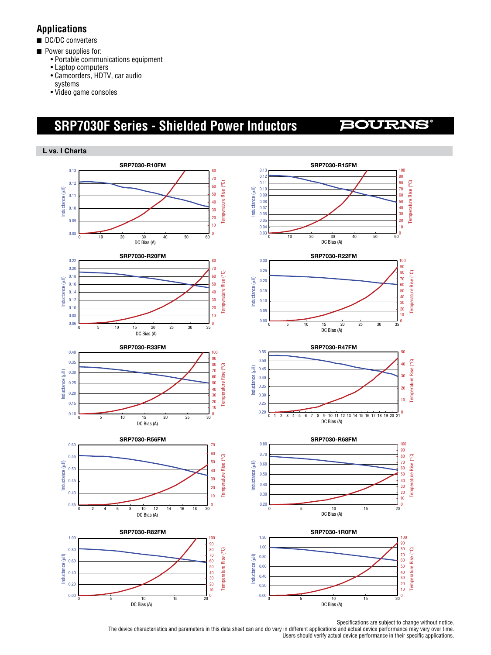## **Applications**

- DC/DC converters
- **n** Power supplies for:
	- • Portable communications equipment
	- • Laptop computers
	- • Camcorders, HDTV, car audio
	- systems
	- • Video game consoles

# **SRP7030F Series - Shielded Power Inductors**

## **BOURNS**



Specifications are subject to change without notice.

The device characteristics and parameters in this data sheet can and do vary in different applications and actual device performance may vary over time. Users should verify actual device performance in their specific applications.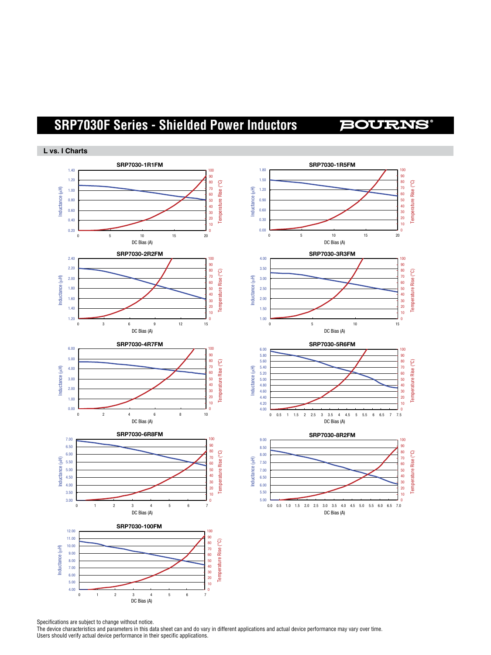## **SRP7030F Series - Shielded Power Inductors**

## **BOURNS**





Specifications are subject to change without notice.

The device characteristics and parameters in this data sheet can and do vary in different applications and actual device performance may vary over time. Users should verify actual device performance in their specific applications.